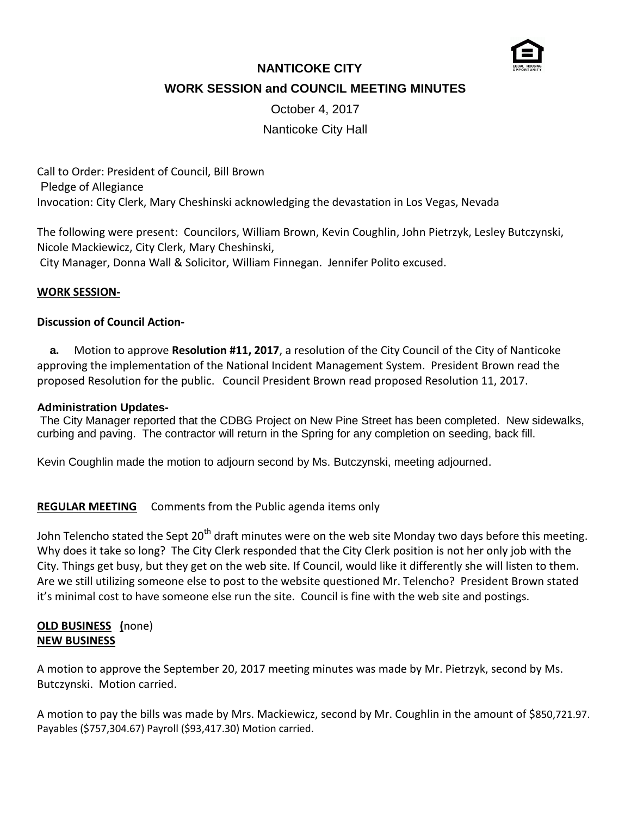

# **NANTICOKE CITY**

**WORK SESSION and COUNCIL MEETING MINUTES**

October 4, 2017

## Nanticoke City Hall

Call to Order: President of Council, Bill Brown Pledge of Allegiance Invocation: City Clerk, Mary Cheshinski acknowledging the devastation in Los Vegas, Nevada

The following were present: Councilors, William Brown, Kevin Coughlin, John Pietrzyk, Lesley Butczynski, Nicole Mackiewicz, City Clerk, Mary Cheshinski, City Manager, Donna Wall & Solicitor, William Finnegan. Jennifer Polito excused.

#### **WORK SESSION-**

#### **Discussion of Council Action-**

 **a.** Motion to approve **Resolution #11, 2017**, a resolution of the City Council of the City of Nanticoke approving the implementation of the National Incident Management System. President Brown read the proposed Resolution for the public. Council President Brown read proposed Resolution 11, 2017.

#### **Administration Updates-**

The City Manager reported that the CDBG Project on New Pine Street has been completed. New sidewalks, curbing and paving. The contractor will return in the Spring for any completion on seeding, back fill.

Kevin Coughlin made the motion to adjourn second by Ms. Butczynski, meeting adjourned.

#### **REGULAR MEETING** Comments from the Public agenda items only

John Telencho stated the Sept 20<sup>th</sup> draft minutes were on the web site Monday two days before this meeting. Why does it take so long? The City Clerk responded that the City Clerk position is not her only job with the City. Things get busy, but they get on the web site. If Council, would like it differently she will listen to them. Are we still utilizing someone else to post to the website questioned Mr. Telencho? President Brown stated it's minimal cost to have someone else run the site. Council is fine with the web site and postings.

## **OLD BUSINESS (**none) **NEW BUSINESS**

A motion to approve the September 20, 2017 meeting minutes was made by Mr. Pietrzyk, second by Ms. Butczynski. Motion carried.

A motion to pay the bills was made by Mrs. Mackiewicz, second by Mr. Coughlin in the amount of \$850,721.97. Payables (\$757,304.67) Payroll (\$93,417.30) Motion carried.